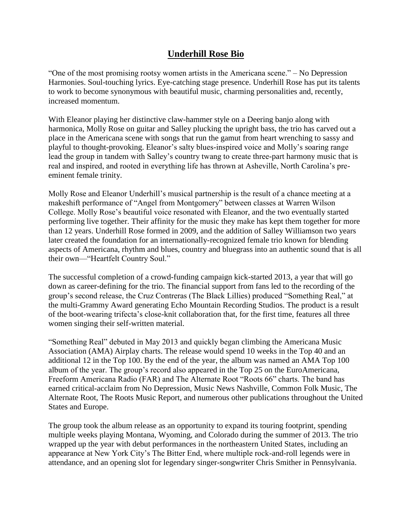## **Underhill Rose Bio**

"One of the most promising rootsy women artists in the Americana scene." – No Depression Harmonies. Soul-touching lyrics. Eye-catching stage presence. Underhill Rose has put its talents to work to become synonymous with beautiful music, charming personalities and, recently, increased momentum.

With Eleanor playing her distinctive claw-hammer style on a Deering banjo along with harmonica, Molly Rose on guitar and Salley plucking the upright bass, the trio has carved out a place in the Americana scene with songs that run the gamut from heart wrenching to sassy and playful to thought-provoking. Eleanor's salty blues-inspired voice and Molly's soaring range lead the group in tandem with Salley's country twang to create three-part harmony music that is real and inspired, and rooted in everything life has thrown at Asheville, North Carolina's preeminent female trinity.

Molly Rose and Eleanor Underhill's musical partnership is the result of a chance meeting at a makeshift performance of "Angel from Montgomery" between classes at Warren Wilson College. Molly Rose's beautiful voice resonated with Eleanor, and the two eventually started performing live together. Their affinity for the music they make has kept them together for more than 12 years. Underhill Rose formed in 2009, and the addition of Salley Williamson two years later created the foundation for an internationally-recognized female trio known for blending aspects of Americana, rhythm and blues, country and bluegrass into an authentic sound that is all their own—"Heartfelt Country Soul."

The successful completion of a crowd-funding campaign kick-started 2013, a year that will go down as career-defining for the trio. The financial support from fans led to the recording of the group's second release, the Cruz Contreras (The Black Lillies) produced "Something Real," at the multi-Grammy Award generating Echo Mountain Recording Studios. The product is a result of the boot-wearing trifecta's close-knit collaboration that, for the first time, features all three women singing their self-written material.

"Something Real" debuted in May 2013 and quickly began climbing the Americana Music Association (AMA) Airplay charts. The release would spend 10 weeks in the Top 40 and an additional 12 in the Top 100. By the end of the year, the album was named an AMA Top 100 album of the year. The group's record also appeared in the Top 25 on the EuroAmericana, Freeform Americana Radio (FAR) and The Alternate Root "Roots 66" charts. The band has earned critical-acclaim from No Depression, Music News Nashville, Common Folk Music, The Alternate Root, The Roots Music Report, and numerous other publications throughout the United States and Europe.

The group took the album release as an opportunity to expand its touring footprint, spending multiple weeks playing Montana, Wyoming, and Colorado during the summer of 2013. The trio wrapped up the year with debut performances in the northeastern United States, including an appearance at New York City's The Bitter End, where multiple rock-and-roll legends were in attendance, and an opening slot for legendary singer-songwriter Chris Smither in Pennsylvania.